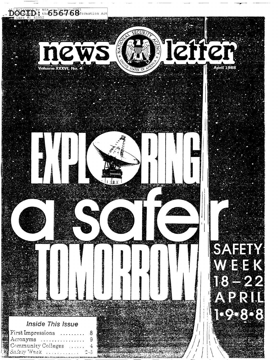